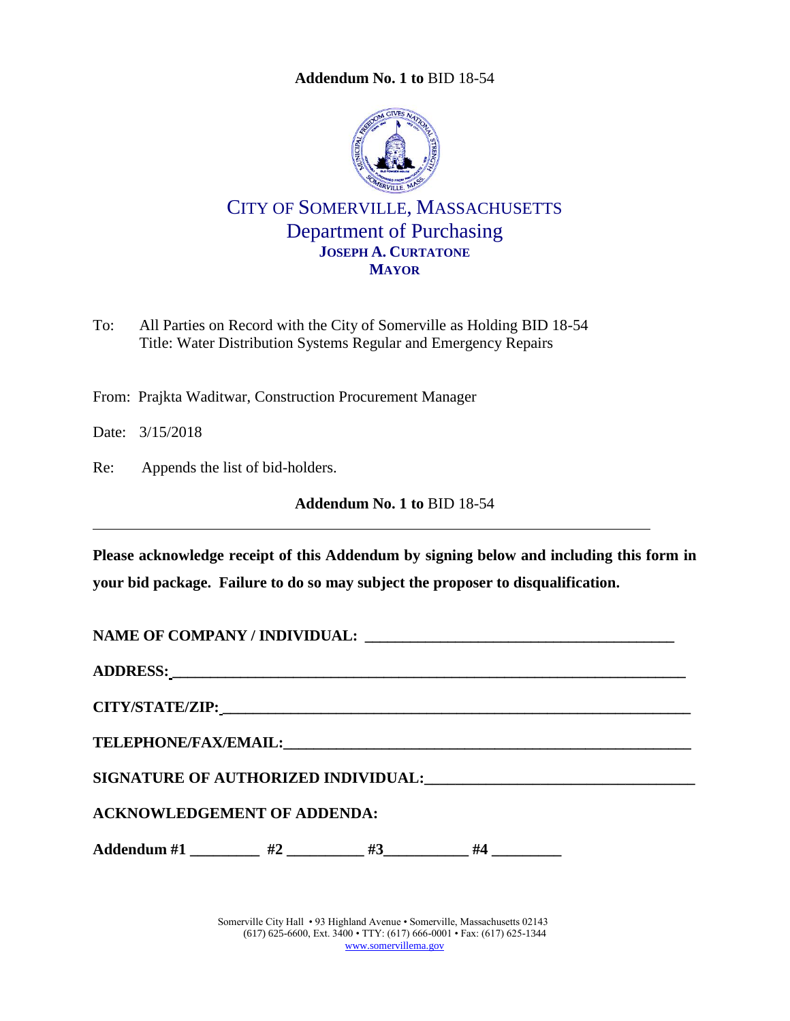**Addendum No. 1 to** [BID 18-54](#page-0-0)

<span id="page-0-0"></span>

CITY OF SOMERVILLE, MASSACHUSETTS Department of Purchasing **JOSEPH A. CURTATONE MAYOR**

To: All Parties on Record with the City of Somerville as Holding BID 18-54 Title: Water Distribution Systems Regular and Emergency Repairs

From: Prajkta Waditwar, Construction Procurement Manager

Date: 3/15/2018

Re: Appends the list of bid-holders.

**Addendum No. 1 to** [BID 18-54](#page-0-0)

**Please acknowledge receipt of this Addendum by signing below and including this form in your bid package. Failure to do so may subject the proposer to disqualification.**

| <b>ACKNOWLEDGEMENT OF ADDENDA:</b>                           |  |  |  |  |  |  |  |  |
|--------------------------------------------------------------|--|--|--|--|--|--|--|--|
| Addendum #1 _________ #2 _________ #3__________ #4 _________ |  |  |  |  |  |  |  |  |

Somerville City Hall • 93 Highland Avenue • Somerville, Massachusetts 02143 (617) 625-6600, Ext. 3400 • TTY: (617) 666-0001 • Fax: (617) 625-1344 [www.somervillema.gov](http://www.somervillema.gov/)